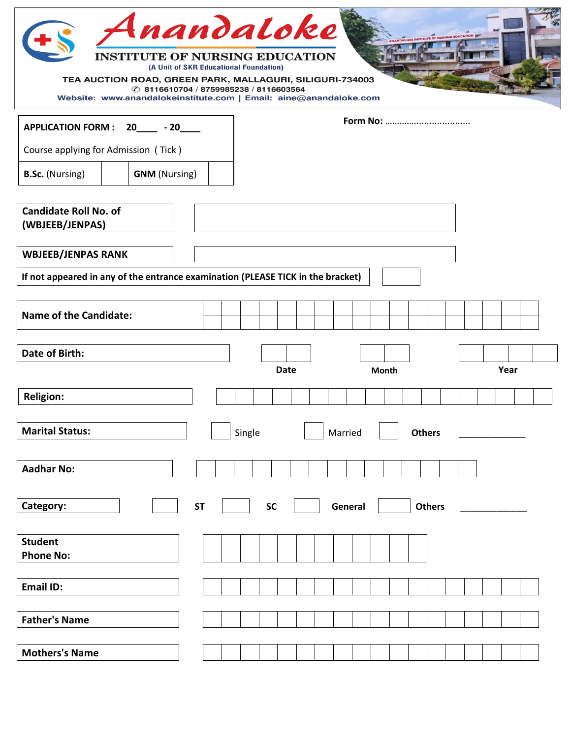| Anandaloke<br><b>INSTITUTE OF NURSING EDUCATION</b><br>TEA AUCTION ROAD, GREEN PARK, MALLAGURI, SILIGURI-734003<br>Website: www.anandalokeinstitute.com   Email: aine@anandaloke.com | (A Unit of SKR Educational Foundation)<br><b>① 8116610704 / 8759985238 / 8116603564</b> |        |             |         |              | <b>PALOKE INSTITUTE OF NURSING EDUCATION</b> |  |      |  |
|--------------------------------------------------------------------------------------------------------------------------------------------------------------------------------------|-----------------------------------------------------------------------------------------|--------|-------------|---------|--------------|----------------------------------------------|--|------|--|
| APPLICATION FORM : 20____ - 20____                                                                                                                                                   |                                                                                         |        |             |         |              |                                              |  |      |  |
| Course applying for Admission (Tick)                                                                                                                                                 |                                                                                         |        |             |         |              |                                              |  |      |  |
| <b>GNM</b> (Nursing)<br><b>B.Sc.</b> (Nursing)                                                                                                                                       |                                                                                         |        |             |         |              |                                              |  |      |  |
| <b>Candidate Roll No. of</b><br>(WBJEEB/JENPAS)                                                                                                                                      |                                                                                         |        |             |         |              |                                              |  |      |  |
| <b>WBJEEB/JENPAS RANK</b><br>If not appeared in any of the entrance examination (PLEASE TICK in the bracket)                                                                         |                                                                                         |        |             |         |              |                                              |  |      |  |
|                                                                                                                                                                                      |                                                                                         |        |             |         |              |                                              |  |      |  |
| <b>Name of the Candidate:</b>                                                                                                                                                        |                                                                                         |        |             |         |              |                                              |  |      |  |
| <b>Date of Birth:</b>                                                                                                                                                                |                                                                                         |        | <b>Date</b> |         | <b>Month</b> |                                              |  | Year |  |
| <b>Religion:</b>                                                                                                                                                                     |                                                                                         |        |             |         |              |                                              |  |      |  |
| <b>Marital Status:</b>                                                                                                                                                               |                                                                                         | Single |             | Married |              | <b>Others</b>                                |  |      |  |
| <b>Aadhar No:</b>                                                                                                                                                                    |                                                                                         |        |             |         |              |                                              |  |      |  |
| Category:                                                                                                                                                                            | <b>ST</b>                                                                               |        | <b>SC</b>   | General |              | <b>Others</b>                                |  |      |  |
| <b>Student</b><br><b>Phone No:</b>                                                                                                                                                   |                                                                                         |        |             |         |              |                                              |  |      |  |
| <b>Email ID:</b>                                                                                                                                                                     |                                                                                         |        |             |         |              |                                              |  |      |  |
| <b>Father's Name</b>                                                                                                                                                                 |                                                                                         |        |             |         |              |                                              |  |      |  |
| <b>Mothers's Name</b>                                                                                                                                                                |                                                                                         |        |             |         |              |                                              |  |      |  |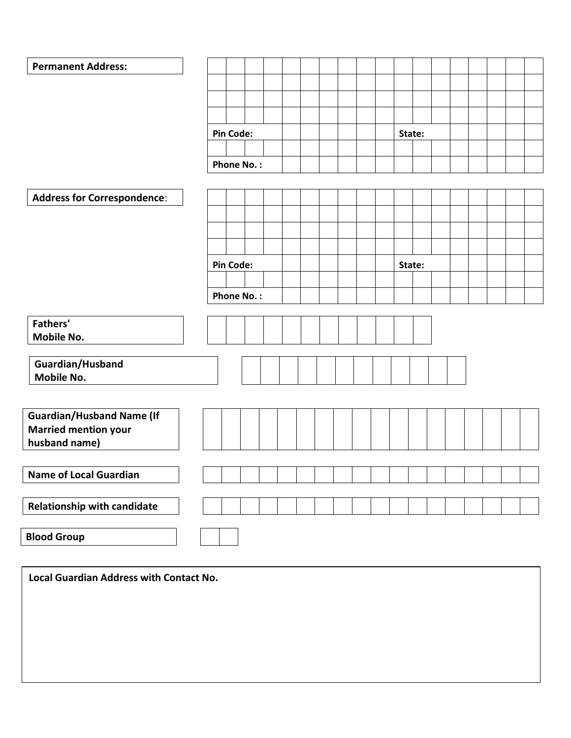| <b>Permanent Address:</b>          |                   |        |
|------------------------------------|-------------------|--------|
|                                    |                   |        |
|                                    |                   |        |
|                                    |                   |        |
|                                    |                   |        |
|                                    | <b>Pin Code:</b>  | State: |
|                                    |                   |        |
|                                    | <b>Phone No.:</b> |        |
|                                    |                   |        |
| <b>Address for Correspondence:</b> |                   |        |
|                                    |                   |        |
|                                    |                   |        |
|                                    |                   |        |
|                                    | <b>Pin Code:</b>  |        |
|                                    |                   | State: |
|                                    |                   |        |
|                                    | <b>Phone No.:</b> |        |
| <b>Fathers'</b>                    |                   |        |
| Mobile No.                         |                   |        |
|                                    |                   |        |
| Guardian/Husband                   |                   |        |
| Mobile No.                         |                   |        |
|                                    |                   |        |
|                                    |                   |        |
| <b>Guardian/Husband Name (If</b>   |                   |        |
| <b>Married mention your</b>        |                   |        |
| husband name)                      |                   |        |
|                                    |                   |        |
| <b>Name of Local Guardian</b>      |                   |        |
|                                    |                   |        |
| <b>Relationship with candidate</b> |                   |        |
|                                    |                   |        |
| <b>Blood Group</b>                 |                   |        |
|                                    |                   |        |

**Local Guardian Address with Contact No.**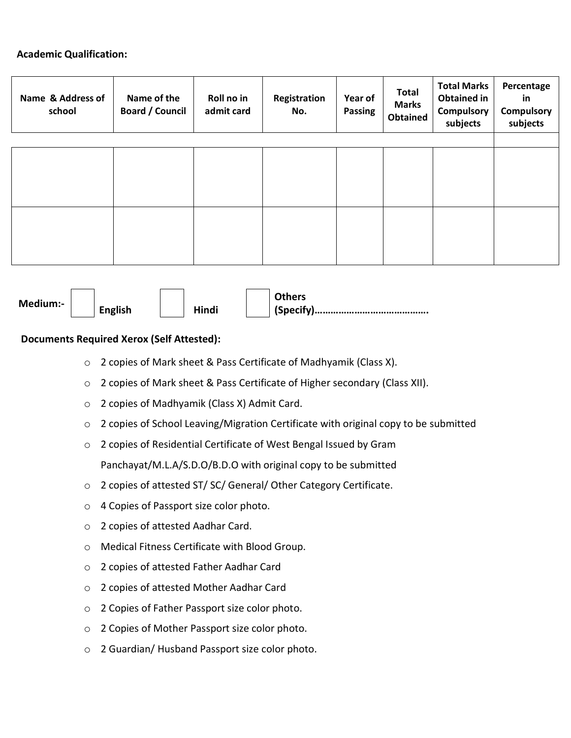## **Academic Qualification:**

| Name & Address of<br>school | Name of the<br><b>Board / Council</b> | Roll no in<br>admit card | Registration<br>Year of<br><b>Passing</b><br>No. |  | <b>Total</b><br><b>Marks</b><br><b>Obtained</b> | <b>Total Marks</b><br><b>Obtained in</b><br><b>Compulsory</b><br>subjects | Percentage<br>in<br><b>Compulsory</b><br>subjects |
|-----------------------------|---------------------------------------|--------------------------|--------------------------------------------------|--|-------------------------------------------------|---------------------------------------------------------------------------|---------------------------------------------------|
|                             |                                       |                          |                                                  |  |                                                 |                                                                           |                                                   |
|                             |                                       |                          |                                                  |  |                                                 |                                                                           |                                                   |
|                             |                                       |                          |                                                  |  |                                                 |                                                                           |                                                   |
|                             |                                       |                          |                                                  |  |                                                 |                                                                           |                                                   |
|                             |                                       |                          |                                                  |  |                                                 |                                                                           |                                                   |
|                             |                                       |                          |                                                  |  |                                                 |                                                                           |                                                   |
|                             |                                       |                          |                                                  |  |                                                 |                                                                           |                                                   |
|                             |                                       |                          |                                                  |  |                                                 |                                                                           |                                                   |
|                             |                                       |                          |                                                  |  |                                                 |                                                                           |                                                   |

| Medium:- | <b>English</b> | Hindi |
|----------|----------------|-------|
|          |                |       |



**Others (Specify)…………………………………….**

## **Documents Required Xerox (Self Attested):**

- o 2 copies of Mark sheet & Pass Certificate of Madhyamik (Class X).
- o 2 copies of Mark sheet & Pass Certificate of Higher secondary (Class XII).
- o 2 copies of Madhyamik (Class X) Admit Card.
- o 2 copies of School Leaving/Migration Certificate with original copy to be submitted
- o 2 copies of Residential Certificate of West Bengal Issued by Gram Panchayat/M.L.A/S.D.O/B.D.O with original copy to be submitted
- o 2 copies of attested ST/ SC/ General/ Other Category Certificate.
- o 4 Copies of Passport size color photo.
- o 2 copies of attested Aadhar Card.
- o Medical Fitness Certificate with Blood Group.
- o 2 copies of attested Father Aadhar Card
- o 2 copies of attested Mother Aadhar Card
- o 2 Copies of Father Passport size color photo.
- o 2 Copies of Mother Passport size color photo.
- o 2 Guardian/ Husband Passport size color photo.